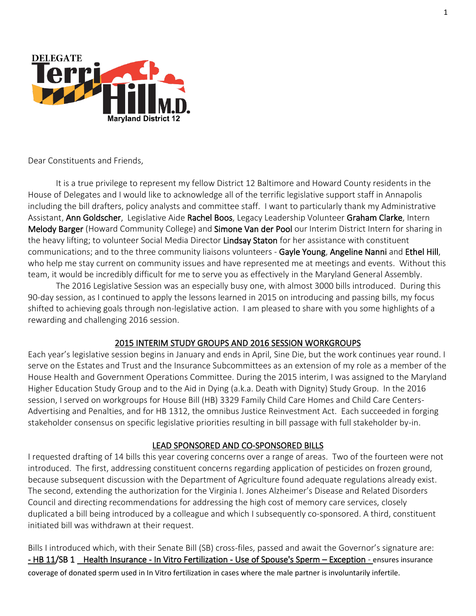

Dear Constituents and Friends,

It is a true privilege to represent my fellow District 12 Baltimore and Howard County residents in the House of Delegates and I would like to acknowledge all of the terrific legislative support staff in Annapolis including the bill drafters, policy analysts and committee staff. I want to particularly thank my Administrative Assistant, Ann Goldscher, Legislative Aide Rachel Boos, Legacy Leadership Volunteer Graham Clarke, Intern Melody Barger (Howard Community College) and Simone Van der Pool our Interim District Intern for sharing in the heavy lifting; to volunteer Social Media Director Lindsay Staton for her assistance with constituent communications; and to the three community liaisons volunteers - Gayle Young, Angeline Nanni and Ethel Hill, who help me stay current on community issues and have represented me at meetings and events. Without this team, it would be incredibly difficult for me to serve you as effectively in the Maryland General Assembly.

The 2016 Legislative Session was an especially busy one, with almost 3000 bills introduced. During this 90-day session, as I continued to apply the lessons learned in 2015 on introducing and passing bills, my focus shifted to achieving goals through non-legislative action. I am pleased to share with you some highlights of a rewarding and challenging 2016 session.

#### 2015 INTERIM STUDY GROUPS AND 2016 SESSION WORKGROUPS

Each year's legislative session begins in January and ends in April, Sine Die, but the work continues year round. I serve on the Estates and Trust and the Insurance Subcommittees as an extension of my role as a member of the House Health and Government Operations Committee. During the 2015 interim, I was assigned to the Maryland Higher Education Study Group and to the Aid in Dying (a.k.a. Death with Dignity) Study Group. In the 2016 session, I served on workgroups for House Bill (HB) 3329 Family Child Care Homes and Child Care Centers-Advertising and Penalties, and for HB 1312, the omnibus Justice Reinvestment Act. Each succeeded in forging stakeholder consensus on specific legislative priorities resulting in bill passage with full stakeholder by-in.

#### LEAD SPONSORED AND CO-SPONSORED BILLS

I requested drafting of 14 bills this year covering concerns over a range of areas. Two of the fourteen were not introduced. The first, addressing constituent concerns regarding application of pesticides on frozen ground, because subsequent discussion with the Department of Agriculture found adequate regulations already exist. The second, extending the authorization for the Virginia I. Jones Alzheimer's Disease and Related Disorders Council and directing recommendations for addressing the high cost of memory care services, closely duplicated a bill being introduced by a colleague and which I subsequently co-sponsored. A third, constituent initiated bill was withdrawn at their request.

Bills I introduced which, with their Senate Bill (SB) cross-files, passed and await the Governor's signature are: - HB 11/SB 1 Health Insurance - In Vitro Fertilization - Use of Spouse's Sperm - Exception - ensures insurance coverage of donated sperm used in In Vitro fertilization in cases where the male partner is involuntarily infertile.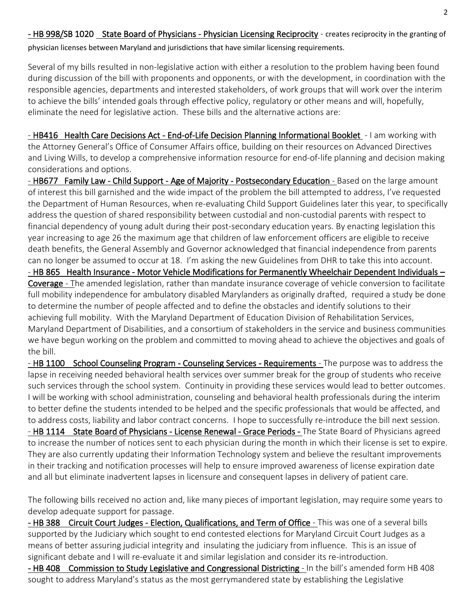Several of my bills resulted in non-legislative action with either a resolution to the problem having been found during discussion of the bill with proponents and opponents, or with the development, in coordination with the responsible agencies, departments and interested stakeholders, of work groups that will work over the interim to achieve the bills' intended goals through effective policy, regulatory or other means and will, hopefully, eliminate the need for legislative action. These bills and the alternative actions are:

- HB416 Health Care Decisions Act - End-of-Life Decision Planning Informational Booklet - I am working with the Attorney General's Office of Consumer Affairs office, building on their resources on Advanced Directives and Living Wills, to develop a comprehensive information resource for end-of-life planning and decision making considerations and options.

- HB677 Family Law - Child Support - Age of Majority - Postsecondary Education - Based on the large amount of interest this bill garnished and the wide impact of the problem the bill attempted to address, I've requested the Department of Human Resources, when re-evaluating Child Support Guidelines later this year, to specifically address the question of shared responsibility between custodial and non-custodial parents with respect to financial dependency of young adult during their post-secondary education years. By enacting legislation this year increasing to age 26 the maximum age that children of law enforcement officers are eligible to receive death benefits, the General Assembly and Governor acknowledged that financial independence from parents can no longer be assumed to occur at 18. I'm asking the new Guidelines from DHR to take this into account.

- HB 865 Health Insurance - Motor Vehicle Modifications for Permanently Wheelchair Dependent Individuals – Coverage - The amended legislation, rather than mandate insurance coverage of vehicle conversion to facilitate full mobility independence for ambulatory disabled Marylanders as originally drafted, required a study be done to determine the number of people affected and to define the obstacles and identify solutions to their achieving full mobility. With the Maryland Department of Education Division of Rehabilitation Services, Maryland Department of Disabilities, and a consortium of stakeholders in the service and business communities we have begun working on the problem and committed to moving ahead to achieve the objectives and goals of the bill.

- HB 1100 School Counseling Program - Counseling Services - Requirements - The purpose was to address the lapse in receiving needed behavioral health services over summer break for the group of students who receive such services through the school system. Continuity in providing these services would lead to better outcomes. I will be working with school administration, counseling and behavioral health professionals during the interim to better define the students intended to be helped and the specific professionals that would be affected, and to address costs, liability and labor contract concerns. I hope to successfully re-introduce the bill next session. - HB 1114 State Board of Physicians - License Renewal - Grace Periods - The State Board of Physicians agreed to increase the number of notices sent to each physician during the month in which their license is set to expire. They are also currently updating their Information Technology system and believe the resultant improvements in their tracking and notification processes will help to ensure improved awareness of license expiration date and all but eliminate inadvertent lapses in licensure and consequent lapses in delivery of patient care.

The following bills received no action and, like many pieces of important legislation, may require some years to develop adequate support for passage.

- HB 388 Circuit Court Judges - Election, Qualifications, and Term of Office - This was one of a several bills supported by the Judiciary which sought to end contested elections for Maryland Circuit Court Judges as a means of better assuring judicial integrity and insulating the judiciary from influence. This is an issue of significant debate and I will re-evaluate it and similar legislation and consider its re-introduction.

- HB 408 Commission to Study Legislative and Congressional Districting - In the bill's amended form HB 408 sought to address Maryland's status as the most gerrymandered state by establishing the Legislative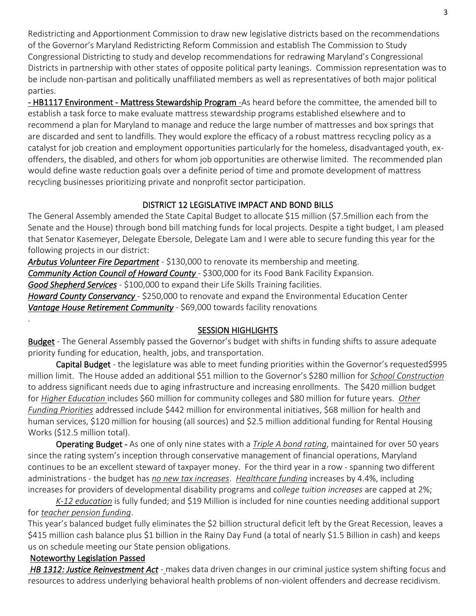Redistricting and Apportionment Commission to draw new legislative districts based on the recommendations of the Governor's Maryland Redistricting Reform Commission and establish The Commission to Study Congressional Districting to study and develop recommendations for redrawing Maryland's Congressional Districts in partnership with other states of opposite political party leanings. Commission representation was to be include non-partisan and politically unaffiliated members as well as representatives of both major political parties.

- HB1117 Environment - Mattress Stewardship Program - As heard before the committee, the amended bill to establish a task force to make evaluate mattress stewardship programs established elsewhere and to recommend a plan for Maryland to manage and reduce the large number of mattresses and box springs that are discarded and sent to landfills. They would explore the efficacy of a robust mattress recycling policy as a catalyst for job creation and employment opportunities particularly for the homeless, disadvantaged youth, exoffenders, the disabled, and others for whom job opportunities are otherwise limited. The recommended plan would define waste reduction goals over a definite period of time and promote development of mattress recycling businesses prioritizing private and nonprofit sector participation.

### DISTRICT 12 LEGISLATIVE IMPACT AND BOND BILLS

The General Assembly amended the State Capital Budget to allocate \$15 million (\$7.5million each from the Senate and the House) through bond bill matching funds for local projects. Despite a tight budget, I am pleased that Senator Kasemeyer, Delegate Ebersole, Delegate Lam and I were able to secure funding this year for the following projects in our district:

*Arbutus Volunteer Fire Department* - \$130,000 to renovate its membership and meeting.

**Community Action Council of Howard County** - \$300,000 for its Food Bank Facility Expansion.

*Good Shepherd Services* - \$100,000 to expand their Life Skills Training facilities.

*Howard County Conservancy* - \$250,000 to renovate and expand the Environmental Education Center **Vantage House Retirement Community** - \$69,000 towards facility renovations

### SESSION HIGHLIGHTS

Budget - The General Assembly passed the Governor's budget with shifts in funding shifts to assure adequate priority funding for education, health, jobs, and transportation.

Capital Budget - the legislature was able to meet funding priorities within the Governor's requested\$995 million limit. The House added an additional \$51 million to the Governor's \$280 million for *School Construction* to address significant needs due to aging infrastructure and increasing enrollments. The \$420 million budget for *Higher Education* includes \$60 million for community colleges and \$80 million for future years. *Other Funding Priorities* addressed include \$442 million for environmental initiatives, \$68 million for health and human services, \$120 million for housing (all sources) and \$2.5 million additional funding for Rental Housing Works (\$12.5 million total).

Operating Budget - As one of only nine states with a *Triple A bond rating*, maintained for over 50 years since the rating system's inception through conservative management of financial operations, Maryland continues to be an excellent steward of taxpayer money. For the third year in a row - spanning two different administrations - the budget has *no new tax increases*. *Healthcare funding* increases by 4.4%, including increases for providers of developmental disability programs and c*ollege tuition increases* are capped at 2%;

*K-12 education* is fully funded; and \$19 Million is included for nine counties needing additional support for *teacher pension funding*.

This year's balanced budget fully eliminates the \$2 billion structural deficit left by the Great Recession, leaves a \$415 million cash balance plus \$1 billion in the Rainy Day Fund (a total of nearly \$1.5 Billion in cash) and keeps us on schedule meeting our State pension obligations.

### Noteworthy Legislation Passed

.

 *HB 1312: Justice Reinvestment Act* - makes data driven changes in our criminal justice system shifting focus and resources to address underlying behavioral health problems of non-violent offenders and decrease recidivism.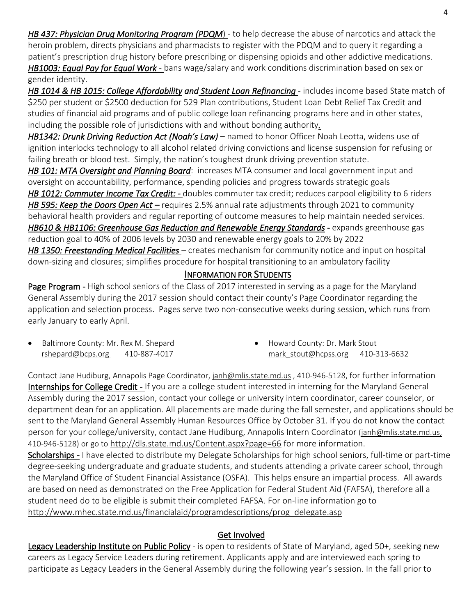*HB 437: Physician Drug Monitoring Program (PDQM*) - to help decrease the abuse of narcotics and attack the heroin problem, directs physicians and pharmacists to register with the PDQM and to query it regarding a patient's prescription drug history before prescribing or dispensing opioids and other addictive medications. *HB1003: Equal Pay for Equal Work* - bans wage/salary and work conditions discrimination based on sex or

gender identity.

HB 1014 & HB 1015: College Affordability and Student Loan Refinancing - includes income based State match of \$250 per student or \$2500 deduction for 529 Plan contributions, Student Loan Debt Relief Tax Credit and studies of financial aid programs and of public college loan refinancing programs here and in other states, including the possible role of jurisdictions with and without bonding authority*.* 

*HB1342: Drunk Driving Reduction Act (Noah's Law)* – named to honor Officer Noah Leotta, widens use of ignition interlocks technology to all alcohol related driving convictions and license suspension for refusing or failing breath or blood test. Simply, the nation's toughest drunk driving prevention statute.

*HB 101: MTA Oversight and Planning Board*: increases MTA consumer and local government input and oversight on accountability, performance, spending policies and progress towards strategic goals *HB 1012: Commuter Income Tax Credit:* - doubles commuter tax credit; reduces carpool eligibility to 6 riders *HB 595: Keep the Doors Open Act -* requires 2.5% annual rate adjustments through 2021 to community behavioral health providers and regular reporting of outcome measures to help maintain needed services. *HB610 & HB1106: Greenhouse Gas Reduction and Renewable Energy Standards* - expands greenhouse gas reduction goal to 40% of 2006 levels by 2030 and renewable energy goals to 20% by 2022 *HB 1350: Freestanding Medical Facilities* – creates mechanism for community notice and input on hospital down-sizing and closures; simplifies procedure for hospital transitioning to an ambulatory facility

## INFORMATION FOR STUDENTS

Page Program - High school seniors of the Class of 2017 interested in serving as a page for the Maryland General Assembly during the 2017 session should contact their county's Page Coordinator regarding the application and selection process. Pages serve two non-consecutive weeks during session, which runs from early January to early April.

• Baltimore County: Mr. Rex M. Shepard [rshepard@bcps.org](mailto:rshepard@bcps.org) 410-887-4017

• Howard County: Dr. Mark Stout mark stout@hcpss.org 410-313-6632

Contact Jane Hudiburg, Annapolis Page Coordinator, [janh@mlis.state.md.us](mailto:janh@mlis.state.md.us) , 410-946-5128, for further information Internships for College Credit - If you are a college student interested in interning for the Maryland General Assembly during the 2017 session, contact your college or university intern coordinator, career counselor, or department dean for an application. All placements are made during the fall semester, and applications should be sent to the Maryland General Assembly Human Resources Office by October 31. If you do not know the contact person for your college/university, contact Jane Hudiburg, Annapolis Intern Coordinator [\(janh@mlis.state.md.us,](mailto:janh@mlis.state.md.us) 410-946-5128) or go to <http://dls.state.md.us/Content.aspx?page=66> for more information.

Scholarships - I have elected to distribute my Delegate Scholarships for high school seniors, full-time or part-time degree-seeking undergraduate and graduate students, and students attending a private career school, through the Maryland Office of Student Financial Assistance (OSFA). This helps ensure an impartial process. All awards are based on need as demonstrated on the Free Application for Federal Student Aid (FAFSA), therefore all a student need do to be eligible is submit their completed FAFSA. For on-line information go to [http://www.mhec.state.md.us/financialaid/programdescriptions/prog\\_delegate.asp](http://www.mhec.state.md.us/financialaid/programdescriptions/prog_delegate.asp)

# Get Involved

Legacy Leadership Institute on Public Policy - is open to residents of State of Maryland, aged 50+, seeking new careers as Legacy Service Leaders during retirement. Applicants apply and are interviewed each spring to participate as Legacy Leaders in the General Assembly during the following year's session. In the fall prior to